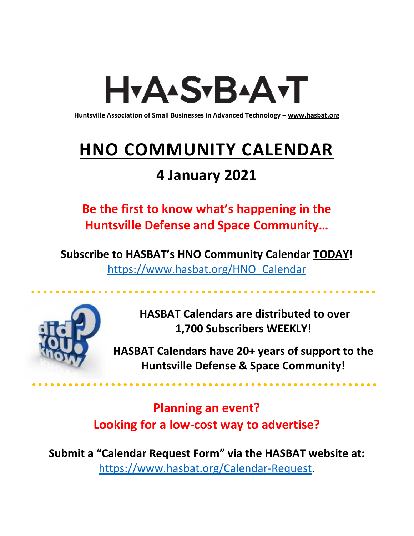# H<sub>Y</sub>AASTBAATT

**Huntsville Association of Small Businesses in Advanced Technology – [www.hasbat.org](http://www.hasbat.org/)**

# **HNO COMMUNITY CALENDAR**

# **4 January 2021**

**Be the first to know what's happening in the Huntsville Defense and Space Community…** 

**Subscribe to HASBAT's HNO Community Calendar TODAY!**  [https://www.hasbat.org/HNO\\_Calendar](https://www.hasbat.org/HNO_Calendar)



**HASBAT Calendars are distributed to over 1,700 Subscribers WEEKLY!**

**HASBAT Calendars have 20+ years of support to the Huntsville Defense & Space Community!** 

**Planning an event? Looking for a low-cost way to advertise?**

**Submit a "Calendar Request Form" via the HASBAT website at:**  [https://www.hasbat.org/Calendar-Request.](https://www.hasbat.org/Calendar-Request)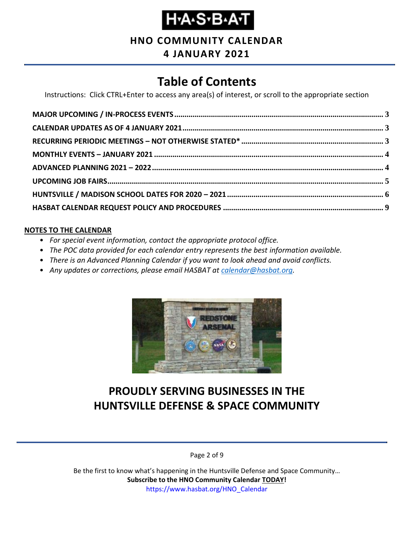#### **HNO COMMUNITY CALENDAR**

#### **4 JANUARY 2021**

## **Table of Contents**

Instructions: Click CTRL+Enter to access any area(s) of interest, or scroll to the appropriate section

#### **NOTES TO THE CALENDAR**

- *For special event information, contact the appropriate protocol office.*
- *The POC data provided for each calendar entry represents the best information available.*
- *There is an Advanced Planning Calendar if you want to look ahead and avoid conflicts.*
- *Any updates or corrections, please email HASBAT at [calendar@hasbat.org.](mailto:calendar@hasbat.org)*



### **PROUDLY SERVING BUSINESSES IN THE HUNTSVILLE DEFENSE & SPACE COMMUNITY**

Page 2 of 9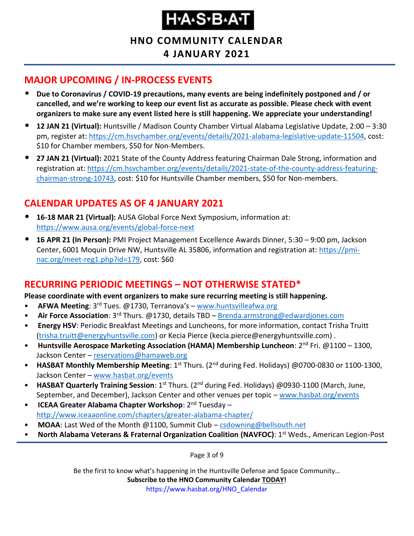**HNO COMMUNITY CALENDAR**

**4 JANUARY 2021**

#### <span id="page-2-0"></span>**MAJOR UPCOMING / IN-PROCESS EVENTS**

- **Due to Coronavirus / COVID-19 precautions, many events are being indefinitely postponed and / or cancelled, and we're working to keep our event list as accurate as possible. Please check with event organizers to make sure any event listed here is still happening. We appreciate your understanding!**
- **12 JAN 21 (Virtual):** Huntsville / Madison County Chamber Virtual Alabama Legislative Update, 2:00 3:30 pm, register at: [https://cm.hsvchamber.org/events/details/2021-alabama-legislative-update-11504,](https://cm.hsvchamber.org/events/details/2021-alabama-legislative-update-11504) cost: \$10 for Chamber members, \$50 for Non-Members.
- **27 JAN 21 (Virtual):** 2021 State of the County Address featuring Chairman Dale Strong, information and registration at: [https://cm.hsvchamber.org/events/details/2021-state-of-the-county-address-featuring](https://cm.hsvchamber.org/events/details/2021-state-of-the-county-address-featuring-chairman-strong-10743)[chairman-strong-10743,](https://cm.hsvchamber.org/events/details/2021-state-of-the-county-address-featuring-chairman-strong-10743) cost: \$10 for Huntsville Chamber members, \$50 for Non-members.

#### <span id="page-2-1"></span>**CALENDAR UPDATES AS OF 4 JANUARY 2021**

- **16-18 MAR 21 (Virtual):** AUSA Global Force Next Symposium, information at: <https://www.ausa.org/events/global-force-next>
- **16 APR 21 (In Person):** PMI Project Management Excellence Awards Dinner, 5:30 9:00 pm, Jackson Center, 6001 Moquin Drive NW, Huntsville AL 35806, information and registration at: [https://pmi](https://pmi-nac.org/meet-reg1.php?id=179)[nac.org/meet-reg1.php?id=179,](https://pmi-nac.org/meet-reg1.php?id=179) cost: \$60

#### <span id="page-2-2"></span>**RECURRING PERIODIC MEETINGS – NOT OTHERWISE STATED\***

#### **Please coordinate with event organizers to make sure recurring meeting is still happening.**

- **AFWA Meeting**: 3<sup>rd</sup> Tues. @1730, Terranova's [www.huntsvilleafwa.org](http://www.huntsvilleafwa.org/)
- **Air Force Association**: 3rd Thurs. @1730, details TBD [Brenda.armstrong@edwardjones.com](mailto:Brenda.armstrong@edwardjones.com)
- **Energy HSV**: Periodic Breakfast Meetings and Luncheons, for more information, contact Trisha Truitt [\(trisha.truitt@energyhuntsville.com\)](mailto:trisha.truitt@energyhuntsville.com) or Kecia Pierce (kecia.pierce@energyhuntsville.com) .
- Huntsville Aerospace Marketing Association (HAMA) Membership Luncheon: 2<sup>nd</sup> Fri. @1100 1300, Jackson Center – [reservations@hamaweb.org](mailto:reservations@hamaweb.org)
- **HASBAT Monthly Membership Meeting**: 1<sup>st</sup> Thurs. (2<sup>nd</sup> during Fed. Holidays) @0700-0830 or 1100-1300, Jackson Center – [www.hasbat.org/events](http://www.hasbat.org/events)
- **HASBAT Quarterly Training Session**: 1<sup>st</sup> Thurs. (2<sup>nd</sup> during Fed. Holidays) @0930-1100 (March, June, September, and December), Jackson Center and other venues per topic – [www.hasbat.org/events](http://www.hasbat.org/events)
- **ICEAA Greater Alabama Chapter Workshop**: 2nd Tuesday <http://www.iceaaonline.com/chapters/greater-alabama-chapter/>
- MOAA: Last Wed of the Month @1100, Summit Club [csdowning@bellsouth.net](mailto:csdowning@bellsouth.net)
- **North Alabama Veterans & Fraternal Organization Coalition (NAVFOC)**: 1st Weds., American Legion-Post

Page 3 of 9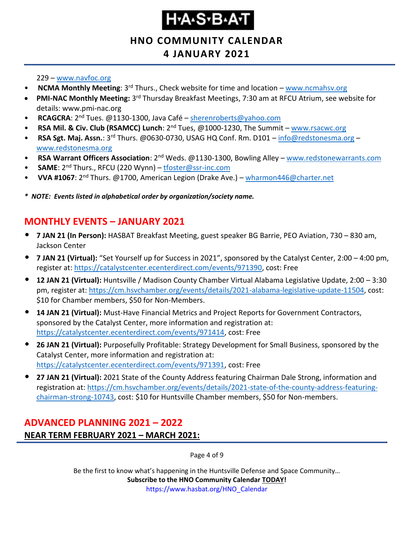#### **HNO COMMUNITY CALENDAR**

#### **4 JANUARY 2021**

#### 229 – [www.navfoc.org](http://www.navfoc.org/)

- **NCMA Monthly Meeting**: 3rd Thurs., Check website for time and location [www.ncmahsv.org](http://www.ncmahsv.org/)
- **PMI-NAC Monthly Meeting:** 3<sup>rd</sup> Thursday Breakfast Meetings, 7:30 am at RFCU Atrium, see website for details: www.pmi-nac.org
- **RCAGCRA**: 2nd Tues. @1130-1300, Java Café [sherenroberts@yahoo.com](mailto:sherenroberts@yahoo.com)
- **RSA Mil. & Civ. Club (RSAMCC) Lunch**: 2nd Tues, @1000-1230, The Summit [www.rsacwc.org](http://www.rsacwc.org/)
- **RSA Sgt. Maj. Assn.**: 3rd Thurs. @0630-0730, USAG HQ Conf. Rm. D101 [info@redstonesma.org](mailto:info@redstonesma.org) [www.redstonesma.org](http://www.redstonesma.org/)
- **RSA Warrant Officers Association**: 2nd Weds. @1130-1300, Bowling Alley [www.redstonewarrants.com](http://www.redstonewarrants.com/)
- **SAME**: 2nd Thurs., RFCU (220 Wynn) [tfoster@ssr-inc.com](mailto:tfoster@ssr-inc.com)
- **VVA #1067**: 2nd Thurs. @1700, American Legion (Drake Ave.) [wharmon446@charter.net](mailto:wharmon446@charter.net)

*\* NOTE: Events listed in alphabetical order by organization/society name.*

#### <span id="page-3-0"></span>**MONTHLY EVENTS – JANUARY 2021**

- **7 JAN 21 (In Person):** HASBAT Breakfast Meeting, guest speaker BG Barrie, PEO Aviation, 730 830 am, Jackson Center
- **7 JAN 21 (Virtual):** "Set Yourself up for Success in 2021", sponsored by the Catalyst Center, 2:00 4:00 pm, register at: [https://catalystcenter.ecenterdirect.com/events/971390,](https://catalystcenter.ecenterdirect.com/events/971390) cost: Free
- **12 JAN 21 (Virtual):** Huntsville / Madison County Chamber Virtual Alabama Legislative Update, 2:00 3:30 pm, register at: [https://cm.hsvchamber.org/events/details/2021-alabama-legislative-update-11504,](https://cm.hsvchamber.org/events/details/2021-alabama-legislative-update-11504) cost: \$10 for Chamber members, \$50 for Non-Members.
- **14 JAN 21 (Virtual):** Must-Have Financial Metrics and Project Reports for Government Contractors, sponsored by the Catalyst Center, more information and registration at: [https://catalystcenter.ecenterdirect.com/events/971414,](https://catalystcenter.ecenterdirect.com/events/971414) cost: Free
- **26 JAN 21 (Virtual):** Purposefully Profitable: Strategy Development for Small Business, sponsored by the Catalyst Center, more information and registration at: [https://catalystcenter.ecenterdirect.com/events/971391,](https://catalystcenter.ecenterdirect.com/events/971391) cost: Free
- **27 JAN 21 (Virtual):** 2021 State of the County Address featuring Chairman Dale Strong, information and registration at: [https://cm.hsvchamber.org/events/details/2021-state-of-the-county-address-featuring](https://cm.hsvchamber.org/events/details/2021-state-of-the-county-address-featuring-chairman-strong-10743)[chairman-strong-10743,](https://cm.hsvchamber.org/events/details/2021-state-of-the-county-address-featuring-chairman-strong-10743) cost: \$10 for Huntsville Chamber members, \$50 for Non-members.

#### <span id="page-3-1"></span>**ADVANCED PLANNING 2021 – 2022 NEAR TERM FEBRUARY 2021 – MARCH 2021:**

Page 4 of 9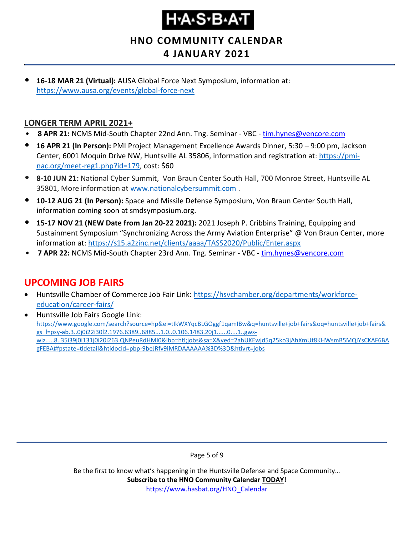# H.A.S.B.A.T

**HNO COMMUNITY CALENDAR 4 JANUARY 2021**

• **16-18 MAR 21 (Virtual):** AUSA Global Force Next Symposium, information at: <https://www.ausa.org/events/global-force-next>

#### **LONGER TERM APRIL 2021+**

- **8 APR 21:** NCMS Mid-South Chapter 22nd Ann. Tng. Seminar VBC [tim.hynes@vencore.com](mailto:tim.hynes@vencore.com)
- **16 APR 21 (In Person):** PMI Project Management Excellence Awards Dinner, 5:30 9:00 pm, Jackson Center, 6001 Moquin Drive NW, Huntsville AL 35806, information and registration at: [https://pmi](https://pmi-nac.org/meet-reg1.php?id=179)[nac.org/meet-reg1.php?id=179,](https://pmi-nac.org/meet-reg1.php?id=179) cost: \$60
- **8-10 JUN 21:** National Cyber Summit, Von Braun Center South Hall, 700 Monroe Street, Huntsville AL 35801, More information a[t www.nationalcybersummit.com](http://www.nationalcybersummit.com/) .
- **10-12 AUG 21 (In Person):** Space and Missile Defense Symposium, Von Braun Center South Hall, information coming soon at smdsymposium.org.
- **15-17 NOV 21 (NEW Date from Jan 20-22 2021):** 2021 Joseph P. Cribbins Training, Equipping and Sustainment Symposium "Synchronizing Across the Army Aviation Enterprise" @ Von Braun Center, more information at:<https://s15.a2zinc.net/clients/aaaa/TASS2020/Public/Enter.aspx>
- **7 APR 22:** NCMS Mid-South Chapter 23rd Ann. Tng. Seminar VBC [tim.hynes@vencore.com](mailto:tim.hynes@vencore.com)

#### <span id="page-4-0"></span>**UPCOMING JOB FAIRS**

- Huntsville Chamber of Commerce Job Fair Link: [https://hsvchamber.org/departments/workforce](https://hsvchamber.org/departments/workforce-education/career-fairs/)[education/career-fairs/](https://hsvchamber.org/departments/workforce-education/career-fairs/)
- Huntsville Job Fairs Google Link: [https://www.google.com/search?source=hp&ei=tIkWXYqcBLGOggf1qamIBw&q=huntsville+job+fairs&oq=huntsville+job+fairs&](https://www.google.com/search?source=hp&ei=tIkWXYqcBLGOggf1qamIBw&q=huntsville+job+fairs&oq=huntsville+job+fairs&gs_l=psy-ab.3..0j0i22i30l2.1976.6389..6885...1.0..0.106.1483.20j1......0....1..gws-wiz.....8..35i39j0i131j0i20i263.QNPeuRdHMI0&ibp=htl;jobs&sa=X&ved=2ahUKEwjd5q25ko3jAhXmUt8KHWsmB5MQiYsCKAF6BAgFEBA#fpstate=tldetail&htidocid=pbp-9beJRfv9iMRDAAAAAA%3D%3D&htivrt=jobs) [gs\\_l=psy-ab.3..0j0i22i30l2.1976.6389..6885...1.0..0.106.1483.20j1......0....1..gws](https://www.google.com/search?source=hp&ei=tIkWXYqcBLGOggf1qamIBw&q=huntsville+job+fairs&oq=huntsville+job+fairs&gs_l=psy-ab.3..0j0i22i30l2.1976.6389..6885...1.0..0.106.1483.20j1......0....1..gws-wiz.....8..35i39j0i131j0i20i263.QNPeuRdHMI0&ibp=htl;jobs&sa=X&ved=2ahUKEwjd5q25ko3jAhXmUt8KHWsmB5MQiYsCKAF6BAgFEBA#fpstate=tldetail&htidocid=pbp-9beJRfv9iMRDAAAAAA%3D%3D&htivrt=jobs)[wiz.....8..35i39j0i131j0i20i263.QNPeuRdHMI0&ibp=htl;jobs&sa=X&ved=2ahUKEwjd5q25ko3jAhXmUt8KHWsmB5MQiYsCKAF6BA](https://www.google.com/search?source=hp&ei=tIkWXYqcBLGOggf1qamIBw&q=huntsville+job+fairs&oq=huntsville+job+fairs&gs_l=psy-ab.3..0j0i22i30l2.1976.6389..6885...1.0..0.106.1483.20j1......0....1..gws-wiz.....8..35i39j0i131j0i20i263.QNPeuRdHMI0&ibp=htl;jobs&sa=X&ved=2ahUKEwjd5q25ko3jAhXmUt8KHWsmB5MQiYsCKAF6BAgFEBA#fpstate=tldetail&htidocid=pbp-9beJRfv9iMRDAAAAAA%3D%3D&htivrt=jobs) [gFEBA#fpstate=tldetail&htidocid=pbp-9beJRfv9iMRDAAAAAA%3D%3D&htivrt=jobs](https://www.google.com/search?source=hp&ei=tIkWXYqcBLGOggf1qamIBw&q=huntsville+job+fairs&oq=huntsville+job+fairs&gs_l=psy-ab.3..0j0i22i30l2.1976.6389..6885...1.0..0.106.1483.20j1......0....1..gws-wiz.....8..35i39j0i131j0i20i263.QNPeuRdHMI0&ibp=htl;jobs&sa=X&ved=2ahUKEwjd5q25ko3jAhXmUt8KHWsmB5MQiYsCKAF6BAgFEBA#fpstate=tldetail&htidocid=pbp-9beJRfv9iMRDAAAAAA%3D%3D&htivrt=jobs)

Page 5 of 9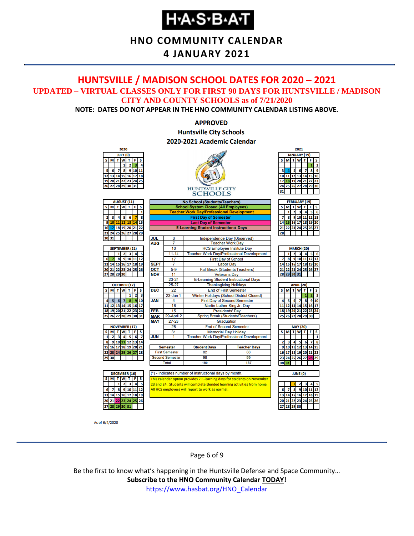#### **HNO COMMUNITY CALENDAR**

#### **4 JANUARY 2021**

#### <span id="page-5-0"></span>**HUNTSVILLE / MADISON SCHOOL DATES FOR 2020 – 2021 UPDATED – VIRTUAL CLASSES ONLY FOR FIRST 90 DAYS FOR HUNTSVILLE / MADISON CITY AND COUNTY SCHOOLS as of 7/21/2020**

**NOTE: DATES DO NOT APPEAR IN THE HNO COMMUNITY CALENDAR LISTING ABOVE.**

#### **APPROVED Huntsville City Schools** 2020-2021 Academic Calendar



As of 6/4/2020

Page 6 of 9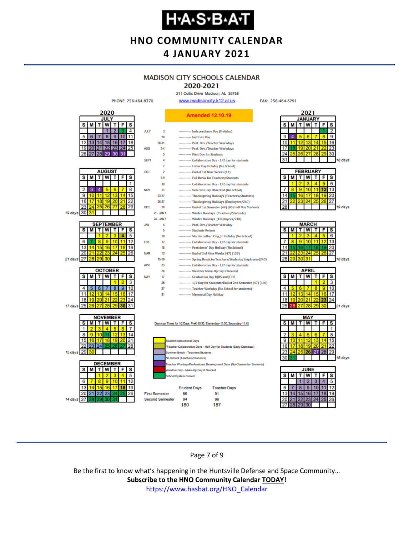# **Н-А-S-В-А-Т**

#### **HNO COMMUNITY CALENDAR 4 JANUARY 2021**

#### **MADISON CITY SCHOOLS CALENDAR**

2020-2021 211 Celtic Drive Madison, AL 35758

FAX: 256-464-8291



Page 7 of 9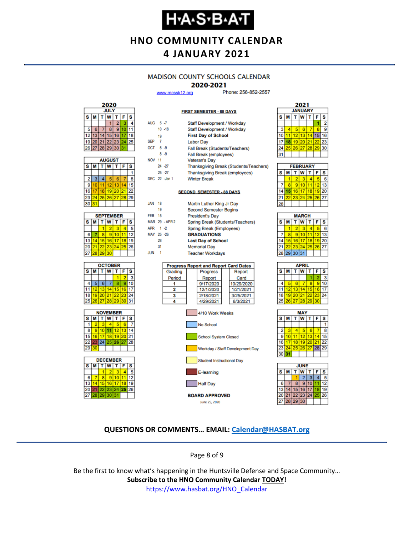#### **HNO COMMUNITY CALENDAR 4 JANUARY 2021**

#### **MADISON COUNTY SCHOOLS CALENDAR**

#### 2020-2021

**FIRST SEMESTER - 88 DAYS** 

www.mcssk12.org

Phone: 256-852-2557



| <b>AUGUST</b><br>$\vec{T}$ |    |    |             |       |    |    |  |  |
|----------------------------|----|----|-------------|-------|----|----|--|--|
| s                          | м  | S  |             |       |    |    |  |  |
|                            |    |    |             |       |    |    |  |  |
| 2                          | 3  | 4  | 5           | 6     |    | 8  |  |  |
| 9                          | 10 | 11 | 12          | 13    |    | 15 |  |  |
| 16                         | 17 | 18 |             | 19 20 | 21 | 22 |  |  |
| 23                         |    |    | 24 25 26 27 |       | 28 | 29 |  |  |
| 30                         | 31 |    |             |       |    |    |  |  |

| <b>SEPTEMBER</b> |                                |                 |          |    |    |    |  |  |  |
|------------------|--------------------------------|-----------------|----------|----|----|----|--|--|--|
| s                | т<br><b>T</b> W<br>F<br>s<br>М |                 |          |    |    |    |  |  |  |
|                  |                                |                 | 2        | з  |    |    |  |  |  |
| 6                |                                | 8               | 9        | 10 |    | 12 |  |  |  |
| 13               | 14                             |                 | 15 16    | 17 | 18 | 19 |  |  |  |
| 20               | 21                             |                 | 22 23 24 |    | 25 | 26 |  |  |  |
| 27               | 128.                           | 29 <sub>l</sub> | 30       |    |    |    |  |  |  |







| AUG 5-7       |                |                | Staff Development / Workday      |                                              |  |            |  |  |  |  |
|---------------|----------------|----------------|----------------------------------|----------------------------------------------|--|------------|--|--|--|--|
|               |                | $10 - 18$      | Staff Development / Workday      |                                              |  |            |  |  |  |  |
|               | 19             |                | <b>First Day of School</b>       |                                              |  |            |  |  |  |  |
| <b>SEP</b>    | $\overline{7}$ |                | <b>Labor Day</b>                 |                                              |  |            |  |  |  |  |
| OCT 5-9       |                |                |                                  | Fall Break (Students/Teachers)               |  |            |  |  |  |  |
|               |                | $8 - 9$        |                                  | Fall Break (employees)                       |  |            |  |  |  |  |
| <b>NOV 11</b> |                |                |                                  | <b>Veteran's Day</b>                         |  |            |  |  |  |  |
|               |                | $24 - 27$      |                                  | Thanksgiving Break (Students/Teachers)       |  |            |  |  |  |  |
|               |                | $25 - 27$      |                                  | Thanksgiving Break (employees)               |  |            |  |  |  |  |
|               |                | DEC 22 -Jan 1  |                                  | <b>Winter Break</b>                          |  |            |  |  |  |  |
|               |                |                |                                  | <b>SECOND SEMESTER - 88 DAYS</b>             |  |            |  |  |  |  |
| <b>JAN</b>    | 18             |                |                                  | Martin Luther King Jr Day                    |  |            |  |  |  |  |
|               | 19             |                | <b>Second Semester Begins</b>    |                                              |  |            |  |  |  |  |
| <b>FEB</b> 15 |                |                |                                  | <b>President's Day</b>                       |  |            |  |  |  |  |
|               |                | MAR 29 - APR 2 | Spring Break (Students/Teachers) |                                              |  |            |  |  |  |  |
| APR 1-2       |                |                | Spring Break (Employees)         |                                              |  |            |  |  |  |  |
| MAY 25 -26    |                |                |                                  | <b>GRADUATIONS</b>                           |  |            |  |  |  |  |
|               | 28             |                |                                  | <b>Last Day of School</b>                    |  |            |  |  |  |  |
|               | 31             |                |                                  | <b>Memorial Day</b>                          |  |            |  |  |  |  |
| <b>JUN</b>    | $\overline{1}$ |                |                                  | <b>Teacher Workdays</b>                      |  |            |  |  |  |  |
|               |                |                |                                  | <b>Progress Report and Report Card Dates</b> |  |            |  |  |  |  |
|               |                | Grading        |                                  | Progress                                     |  | Report     |  |  |  |  |
|               |                | Period         |                                  | Report                                       |  | Card       |  |  |  |  |
|               |                | 1              |                                  | 9/17/2020                                    |  | 10/29/2020 |  |  |  |  |
|               |                | 2              |                                  | 12/1/2020                                    |  | 1/21/2021  |  |  |  |  |
|               |                | 3              |                                  | 2/18/2021                                    |  | 3/25/2021  |  |  |  |  |
|               |                | 4              |                                  | 4/29/2021                                    |  | 6/3/2021   |  |  |  |  |



| 2021                    |             |    |    |    |    |    |  |  |  |  |  |
|-------------------------|-------------|----|----|----|----|----|--|--|--|--|--|
| <b>JANUARY</b>          |             |    |    |    |    |    |  |  |  |  |  |
| S                       | W<br>s<br>F |    |    |    |    |    |  |  |  |  |  |
|                         |             |    |    |    |    | 2  |  |  |  |  |  |
| $\overline{\mathbf{3}}$ |             | 5  | 6  |    | R  | 9  |  |  |  |  |  |
| IO                      | 11          | 12 | 13 | 14 | 15 | 16 |  |  |  |  |  |
| 17                      | 18          | 19 | 20 | 21 | 22 | 23 |  |  |  |  |  |
| 24                      | 25          | 26 | 27 | 28 | 29 | 30 |  |  |  |  |  |
| 31                      |             |    |    |    |    |    |  |  |  |  |  |
|                         |             |    |    |    |    |    |  |  |  |  |  |

Ŀ

Ē

E

| <b>FEBRUARY</b> |   |                |                   |    |       |    |  |  |  |
|-----------------|---|----------------|-------------------|----|-------|----|--|--|--|
| s               | М |                | <b>TW</b>         | T  | F     | s  |  |  |  |
|                 |   | $\overline{2}$ | з                 |    |       | 6  |  |  |  |
|                 | R | 9              | 10                |    | 12    | 13 |  |  |  |
|                 |   |                | 15 16 17          | 18 | 19 20 |    |  |  |  |
|                 |   |                | 22 23 24 25 26 27 |    |       |    |  |  |  |
|                 |   |                |                   |    |       |    |  |  |  |

| <b>MARCH</b> |             |                 |     |              |           |    |  |  |  |
|--------------|-------------|-----------------|-----|--------------|-----------|----|--|--|--|
| s            | М           |                 | T W | $\bar{\tau}$ | F         | S  |  |  |  |
|              |             | 2               | з   |              | ۶         | 6  |  |  |  |
|              | 8           | 9               | 10  | 11           | $12^{12}$ | 13 |  |  |  |
| 14           | 15          | 16 <sup>1</sup> | 17  | 18           | 19        | 20 |  |  |  |
| 21           | 22          | 23 24           |     | 25           | 26 27     |    |  |  |  |
|              | 28 29 30 31 |                 |     |              |           |    |  |  |  |
|              |             |                 |     |              |           |    |  |  |  |

| APRIL |          |             |   |    |    |    |  |  |
|-------|----------|-------------|---|----|----|----|--|--|
| s     | M        | т           | W | т  | F  | s  |  |  |
|       |          |             |   |    |    | 3  |  |  |
| 4     |          | 6           |   | 8  | 9  | 10 |  |  |
| 11    |          | 12 13 14    |   | 15 | 16 | 17 |  |  |
| 18    |          | 19 20 21 22 |   |    | 23 | 24 |  |  |
| 25    | 26 27 28 |             |   | 29 | 30 |    |  |  |
|       |          |             |   |    |    |    |  |  |





#### **QUESTIONS OR COMMENTS… EMAIL: [Calendar@HASBAT.org](mailto:calendar@hasbat.org)**

Page 8 of 9